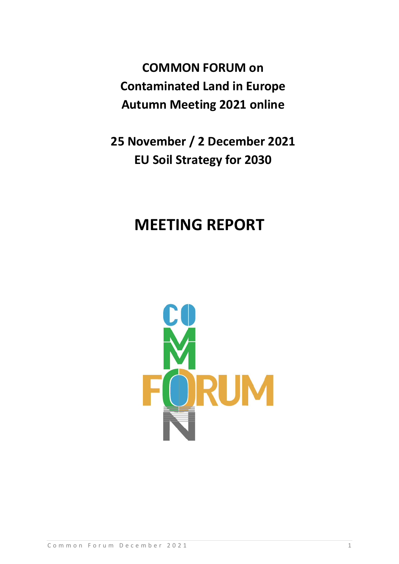**COMMON FORUM on Contaminated Land in Europe Autumn Meeting 2021 online**

**25 November / 2 December 2021 EU Soil Strategy for 2030**

# **MEETING REPORT**

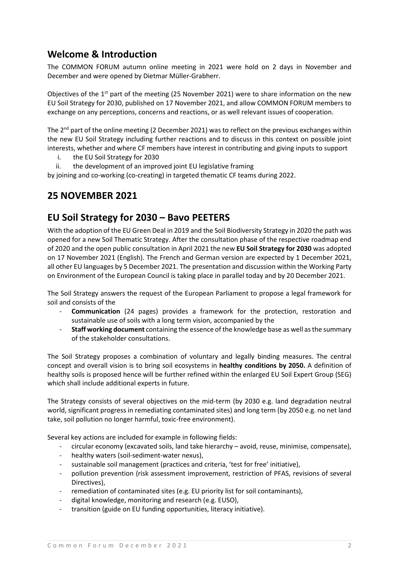## **Welcome & Introduction**

The COMMON FORUM autumn online meeting in 2021 were hold on 2 days in November and December and were opened by Dietmar Müller-Grabherr.

Objectives of the 1<sup>st</sup> part of the meeting (25 November 2021) were to share information on the new EU Soil Strategy for 2030, published on 17 November 2021, and allow COMMON FORUM members to exchange on any perceptions, concerns and reactions, or as well relevant issues of cooperation.

The 2<sup>nd</sup> part of the online meeting (2 December 2021) was to reflect on the previous exchanges within the new EU Soil Strategy including further reactions and to discuss in this context on possible joint interests, whether and where CF members have interest in contributing and giving inputs to support

- i. the EU Soil Strategy for 2030
- ii. the development of an improved joint EU legislative framing

by joining and co-working (co-creating) in targeted thematic CF teams during 2022.

## **25 NOVEMBER 2021**

## **EU Soil Strategy for 2030 – Bavo PEETERS**

With the adoption of the EU Green Deal in 2019 and the Soil Biodiversity Strategy in 2020 the path was opened for a new Soil Thematic Strategy. After the consultation phase of the respective roadmap end of 2020 and the open public consultation in April 2021 the new **EU Soil Strategy for 2030** was adopted on 17 November 2021 (English). The French and German version are expected by 1 December 2021, all other EU languages by 5 December 2021. The presentation and discussion within the Working Party on Environment of the European Council is taking place in parallel today and by 20 December 2021.

The Soil Strategy answers the request of the European Parliament to propose a legal framework for soil and consists of the

- **Communication** (24 pages) provides a framework for the protection, restoration and sustainable use of soils with a long term vision, accompanied by the
- **Staff working document** containing the essence of the knowledge base as well as the summary of the stakeholder consultations.

The Soil Strategy proposes a combination of voluntary and legally binding measures. The central concept and overall vision is to bring soil ecosystems in **healthy conditions by 2050.** A definition of healthy soils is proposed hence will be further refined within the enlarged EU Soil Expert Group (SEG) which shall include additional experts in future.

The Strategy consists of several objectives on the mid-term (by 2030 e.g. land degradation neutral world, significant progress in remediating contaminated sites) and long term (by 2050 e.g. no net land take, soil pollution no longer harmful, toxic-free environment).

Several key actions are included for example in following fields:

- circular economy (excavated soils, land take hierarchy avoid, reuse, minimise, compensate),
- healthy waters (soil-sediment-water nexus),
- sustainable soil management (practices and criteria, 'test for free' initiative),
- pollution prevention (risk assessment improvement, restriction of PFAS, revisions of several Directives),
- remediation of contaminated sites (e.g. EU priority list for soil contaminants),
- digital knowledge, monitoring and research (e.g. EUSO),
- transition (guide on EU funding opportunities, literacy initiative).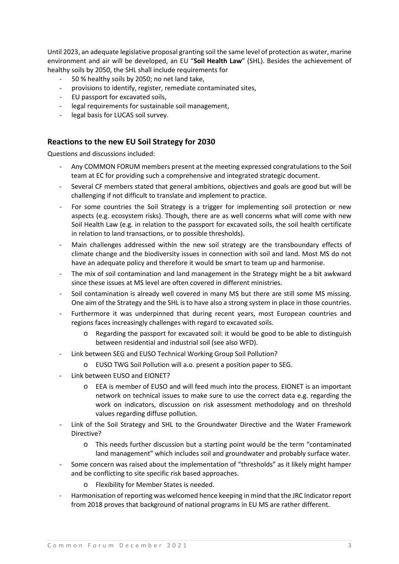Until 2023, an adequate legislative proposal granting soil the same level of protection as water, marine environment and air will be developed, an EU "**Soil Health Law**" (SHL). Besides the achievement of healthy soils by 2050, the SHL shall include requirements for

- 50 % healthy soils by 2050; no net land take,
- provisions to identify, register, remediate contaminated sites,
- EU passport for excavated soils,
- legal requirements for sustainable soil management,
- legal basis for LUCAS soil survey.

#### **Reactions to the new EU Soil Strategy for 2030**

Questions and discussions included:

- Any COMMON FORUM members present at the meeting expressed congratulations to the Soil team at EC for providing such a comprehensive and integrated strategic document.
- Several CF members stated that general ambitions, objectives and goals are good but will be challenging if not difficult to translate and implement to practice.
- For some countries the Soil Strategy is a trigger for implementing soil protection or new aspects (e.g. ecosystem risks). Though, there are as well concerns what will come with new Soil Health Law (e.g. in relation to the passport for excavated soils, the soil health certificate in relation to land transactions, or to possible thresholds).
- Main challenges addressed within the new soil strategy are the transboundary effects of climate change and the biodiversity issues in connection with soil and land. Most MS do not have an adequate policy and therefore it would be smart to team up and harmonise.
- The mix of soil contamination and land management in the Strategy might be a bit awkward since these issues at MS level are often covered in different ministries.
- Soil contamination is already well covered in many MS but there are still some MS missing. One aim of the Strategy and the SHL is to have also a strong system in place in those countries.
- Furthermore it was underpinned that during recent years, most European countries and regions faces increasingly challenges with regard to excavated soils.
	- o Regarding the passport for excavated soil: it would be good to be able to distinguish between residential and industrial soil (see also WFD).
- Link between SEG and EUSO Technical Working Group Soil Pollution?
	- o EUSO TWG Soil Pollution will a.o. present a position paper to SEG.
- Link between EUSO and EIONET?
	- o EEA is member of EUSO and will feed much into the process. EIONET is an important network on technical issues to make sure to use the correct data e.g. regarding the work on indicators, discussion on risk assessment methodology and on threshold values regarding diffuse pollution.
- Link of the Soil Strategy and SHL to the Groundwater Directive and the Water Framework Directive?
	- o This needs further discussion but a starting point would be the term "contaminated land management" which includes soil and groundwater and probably surface water.
- Some concern was raised about the implementation of "thresholds" as it likely might hamper and be conflicting to site specific risk based approaches.
	- o Flexibility for Member States is needed.
- Harmonisation of reporting was welcomed hence keeping in mind that the JRC Indicator report from 2018 proves that background of national programs in EU MS are rather different.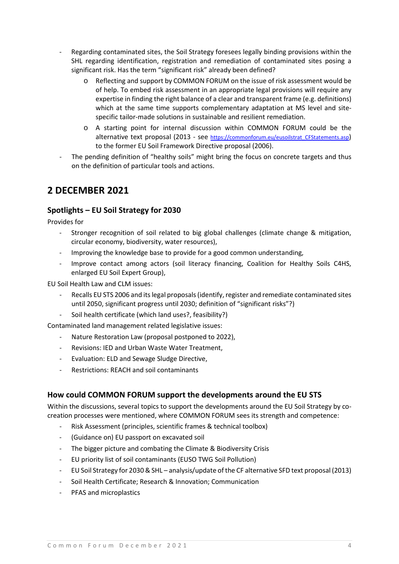- Regarding contaminated sites, the Soil Strategy foresees legally binding provisions within the SHL regarding identification, registration and remediation of contaminated sites posing a significant risk. Has the term "significant risk" already been defined?
	- o Reflecting and support by COMMON FORUM on the issue of risk assessment would be of help. To embed risk assessment in an appropriate legal provisions will require any expertise in finding the right balance of a clear and transparent frame (e.g. definitions) which at the same time supports complementary adaptation at MS level and sitespecific tailor-made solutions in sustainable and resilient remediation.
	- o A starting point for internal discussion within COMMON FORUM could be the alternative text proposal (2013 - see https://commonforum.eu/eusoilstrat CFStatements.asp) to the former EU Soil Framework Directive proposal (2006).
- The pending definition of "healthy soils" might bring the focus on concrete targets and thus on the definition of particular tools and actions.

## **2 DECEMBER 2021**

## **Spotlights – EU Soil Strategy for 2030**

Provides for

- Stronger recognition of soil related to big global challenges (climate change & mitigation, circular economy, biodiversity, water resources),
- Improving the knowledge base to provide for a good common understanding,
- Improve contact among actors (soil literacy financing, Coalition for Healthy Soils C4HS, enlarged EU Soil Expert Group),

EU Soil Health Law and CLM issues:

- Recalls EU STS 2006 and its legal proposals (identify, register and remediate contaminated sites until 2050, significant progress until 2030; definition of "significant risks"?)
- Soil health certificate (which land uses?, feasibility?)

Contaminated land management related legislative issues:

- Nature Restoration Law (proposal postponed to 2022),
- Revisions: IED and Urban Waste Water Treatment,
- Evaluation: ELD and Sewage Sludge Directive,
- Restrictions: REACH and soil contaminants

## **How could COMMON FORUM support the developments around the EU STS**

Within the discussions, several topics to support the developments around the EU Soil Strategy by cocreation processes were mentioned, where COMMON FORUM sees its strength and competence:

- Risk Assessment (principles, scientific frames & technical toolbox)
- (Guidance on) EU passport on excavated soil
- The bigger picture and combating the Climate & Biodiversity Crisis
- EU priority list of soil contaminants (EUSO TWG Soil Pollution)
- EU Soil Strategy for 2030 & SHL analysis/update of the CF alternative SFD text proposal (2013)
- Soil Health Certificate; Research & Innovation; Communication
- PFAS and microplastics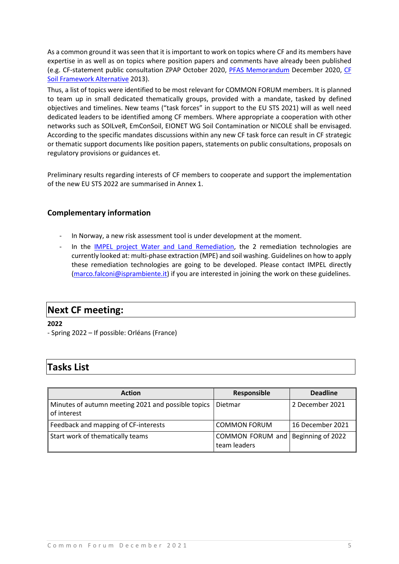As a common ground it was seen that it is important to work on topics where CF and its members have expertise in as well as on topics where position papers and comments have already been published (e.g. CF-statement public consultation ZPAP October 2020, [PFAS Memorandum](https://commonforum.eu/publications_positionpapers.asp) December 2020, [CF](https://commonforum.eu/eusoilstrat_CFStatements.asp)  [Soil Framework Alternative](https://commonforum.eu/eusoilstrat_CFStatements.asp) 2013).

Thus, a list of topics were identified to be most relevant for COMMON FORUM members. It is planned to team up in small dedicated thematically groups, provided with a mandate, tasked by defined objectives and timelines. New teams ("task forces" in support to the EU STS 2021) will as well need dedicated leaders to be identified among CF members. Where appropriate a cooperation with other networks such as SOILveR, EmConSoil, EIONET WG Soil Contamination or NICOLE shall be envisaged. According to the specific mandates discussions within any new CF task force can result in CF strategic or thematic support documents like position papers, statements on public consultations, proposals on regulatory provisions or guidances et.

Preliminary results regarding interests of CF members to cooperate and support the implementation of the new EU STS 2022 are summarised in Annex 1.

## **Complementary information**

- In Norway, a new risk assessment tool is under development at the moment.
- In the IMPEL project [Water and Land Remediation,](https://www.impel.eu/projects/water-and-land-remediation/) the 2 remediation technologies are currently looked at: multi-phase extraction (MPE) and soil washing. Guidelines on how to apply these remediation technologies are going to be developed. Please contact IMPEL directly [\(marco.falconi@isprambiente.it\)](mailto:marco.falconi@isprambiente.it) if you are interested in joining the work on these guidelines.

## **Next CF meeting:**

**2022** 

- Spring 2022 – If possible: Orléans (France)

## **Tasks List**

| <b>Action</b>                                                     | Responsible                                        | <b>Deadline</b>  |
|-------------------------------------------------------------------|----------------------------------------------------|------------------|
| Minutes of autumn meeting 2021 and possible topics<br>of interest | Dietmar                                            | 2 December 2021  |
| Feedback and mapping of CF-interests                              | <b>COMMON FORUM</b>                                | 16 December 2021 |
| Start work of thematically teams                                  | COMMON FORUM and Beginning of 2022<br>team leaders |                  |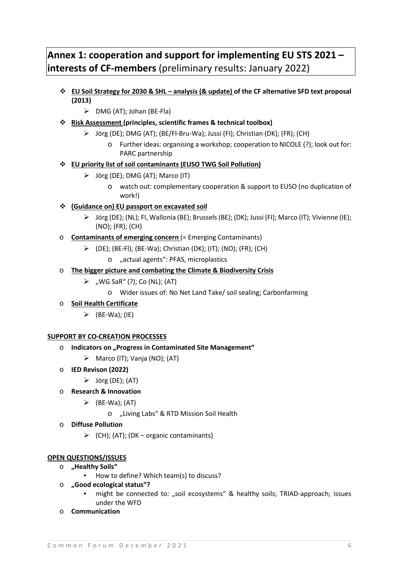## **Annex 1: cooperation and support for implementing EU STS 2021 – interests of CF-members** (preliminary results: January 2022)

- **EU Soil Strategy for 2030 & SHL – analysis (& update) of the CF alternative SFD text proposal (2013)**
	- $\triangleright$  DMG (AT); Johan (BE-Fla)
- **Risk Assessment (principles, scientific frames & technical toolbox)**
	- Jörg (DE); DMG (AT); (BE/Fl-Bru-Wa); Jussi (FI); Christian (DK); (FR); (CH)
		- o Further ideas: organising a workshop; cooperation to NICOLE (?); look out for: PARC partnership
- **EU priority list of soil contaminants (EUSO TWG Soil Pollution)**
	- $\triangleright$  Jörg (DE); DMG (AT); Marco (IT)
		- o watch out: complementary cooperation & support to EUSO (no duplication of work!)
- **(Guidance on) EU passport on excavated soil**
	- $\triangleright$  Jörg (DE); (NL); FI, Wallonia (BE); Brussels (BE); (DK); Jussi (FI); Marco (IT); Vivienne (IE); (NO); (FR); (CH)
- o **Contaminants of emerging concern** (= Emerging Contaminants)
	- $\triangleright$  (DE); (BE-FI); (BE-Wa); Christian (DK); (IT); (NO); (FR); (CH)
		- o "actual agents": PFAS, microplastics
- o **The bigger picture and combating the Climate & Biodiversity Crisis**
	- $\triangleright$  , WG SaR" (?); Co (NL); (AT)
		- o Wider issues of: No Net Land Take/ soil sealing; Carbonfarming
- o **Soil Health Certificate**
	- $\triangleright$  (BE-Wa); (IE)

#### **SUPPORT BY CO-CREATION PROCESSES**

- o **Indicators on "Progress in Contaminated Site Management"** 
	- $\triangleright$  Marco (IT); Vanja (NO); (AT)
- o **IED Revison (2022)**
	- $\triangleright$  Jörg (DE); (AT)
- o **Research & Innovation**
	- $\triangleright$  (BE-Wa); (AT)
		- o "Living Labs" & RTD Mission Soil Health
- o **Diffuse Pollution**
	- $\triangleright$  (CH); (AT); (DK organic contaminants)

#### **OPEN QUESTIONS/ISSUES**

- o **"Healthy Soils"**
	- How to define? Which team(s) to discuss?
- o **"Good ecological status"?**
	- might be connected to: "soil ecosystems" & healthy soils; TRIAD-approach; issues under the WFD
- o **Communication**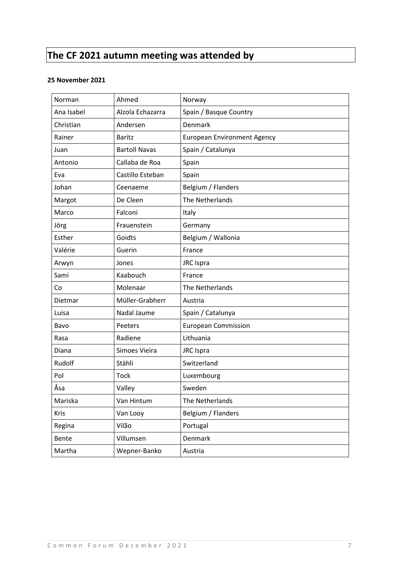## **The CF 2021 autumn meeting was attended by**

#### **25 November 2021**

| Norman      | Ahmed                | Norway                             |
|-------------|----------------------|------------------------------------|
| Ana Isabel  | Alzola Echazarra     | Spain / Basque Country             |
| Christian   | Andersen             | <b>Denmark</b>                     |
| Rainer      | <b>Baritz</b>        | <b>European Environment Agency</b> |
| Juan        | <b>Bartoll Navas</b> | Spain / Catalunya                  |
| Antonio     | Callaba de Roa       | Spain                              |
| Eva         | Castillo Esteban     | Spain                              |
| Johan       | Ceenaeme             | Belgium / Flanders                 |
| Margot      | De Cleen             | The Netherlands                    |
| Marco       | Falconi              | Italy                              |
| Jörg        | Frauenstein          | Germany                            |
| Esther      | Goidts               | Belgium / Wallonia                 |
| Valérie     | Guerin               | France                             |
| Arwyn       | Jones                | JRC Ispra                          |
| Sami        | Kaabouch             | France                             |
| Co          | Molenaar             | The Netherlands                    |
| Dietmar     | Müller-Grabherr      | Austria                            |
| Luisa       | Nadal Jaume          | Spain / Catalunya                  |
| Bavo        | Peeters              | <b>European Commission</b>         |
| Rasa        | Radiene              | Lithuania                          |
| Diana       | Simoes Vieira        | JRC Ispra                          |
| Rudolf      | Stähli               | Switzerland                        |
| Pol         | <b>Tock</b>          | Luxembourg                         |
| Åsa         | Valley               | Sweden                             |
| Mariska     | Van Hintum           | The Netherlands                    |
| <b>Kris</b> | Van Looy             | Belgium / Flanders                 |
| Regina      | Vilão                | Portugal                           |
| Bente       | Villumsen            | Denmark                            |
| Martha      | Wepner-Banko         | Austria                            |